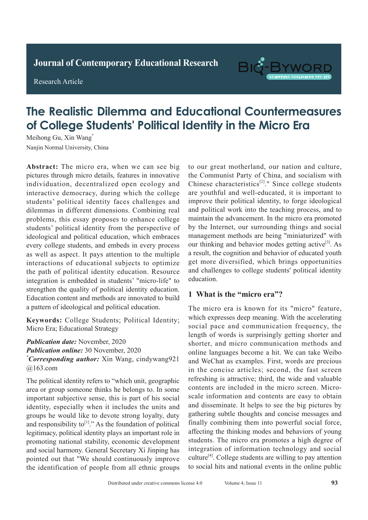**Journal of Clinical and Nursing Research Journal of Contemporary Educational Research**

**Research Article** 

Research Article



# **The Realistic Dilemma and Educational Countermeasures** of College Students' Political Identity in the Micro Era

Meihong Gu, Xin Wang<sup>\*</sup> Nanjin Normal University, China

Abstract: The micro era, when we can see big pictures through micro details, features in innovative individuation, decentralized open ecology and interactive democracy, during which the college students' political identity faces challenges and dilemmas in different dimensions. Combining real problems, this essay proposes to enhance college students' political identity from the perspective of ideological and political education, which embraces every college students, and embeds in every process as well as aspect. It pays attention to the multiple interactions of educational subjects to optimize the path of political identity education. Resource integration is embedded in students' "micro-life" to strengthen the quality of political identity education. Education content and methods are innovated to build a pattern of ideological and political education.  $\begin{array}{ccc} 1 & \sim & 0 & 1 \end{array}$ 

Keywords: College Students; Political Identity; For the active of 2.69% rate of active currently, and the active currently,  $\frac{1}{2}$ where  $\equiv$   $\equiv$   $\ldots$   $\equiv$   $\ldots$   $\ldots$   $\equiv$   $\ldots$   $\ldots$   $\equiv$   $\ldots$   $\equiv$   $\ldots$   $\equiv$   $\ldots$   $\equiv$   $\ldots$   $\equiv$   $\ldots$   $\equiv$   $\ldots$   $\equiv$   $\ldots$   $\equiv$   $\ldots$   $\equiv$   $\ldots$   $\equiv$   $\ldots$   $\equiv$   $\ldots$   $\equiv$   $\ldots$   $\equiv$   $\ldots$   $\equiv$   $\ldots$   $\equiv$   $\ldots$ 

Publication date: November, 2020 Publication online: 30 November, 2020 <u><sup>\*</sup>Corresponding</u> author: Yin Wang, cindywang021.  $\widehat{\omega}$ 163 com  $\ddotsc$ *\* Corresponding author:* Xin Wang, cindywang921 @163.com The difference was statistically significant (*P*<0.05).

The political identity refers to "which unit, geographic area or group someone thinks he belongs to. In some area or group someone thinks he belongs to. In some and of group sensels and the except chemical chest radiography. keywords, the process of the model of the adults, duty groups he would like to devote strong loyalty, duty and responsibility to<sup>[1]</sup>." As the foundation of political legitimacy, political identity plays an important role in promoting national stability, economic development and social harmony. General Secretary Xi Jinping has pointed out that "We should continuously improve pointed out that we should continuously improve the identification of people from all ethnic groups  $im$  because,  $im$  is put of  $m$  social identity, especially when it includes the units and *Publication date:* May, 2020 *\*Corresponding author:* Ruishu Wang, wrs26121939@

to our great motherland, our nation and culture, the Communist Party of China, and socialism with the Communist raty of China, and socialism with<br>Chinese characteristics<sup>[2]</sup>." Since college students are youthful and well-educated, it is important to improve their political identity, to forge ideological and political work into the teaching process, and to maintain the advancement. In the micro era promoted by the Internet, our surrounding things and social as other respiratory discussed as  $\frac{1}{2}$ management methods are being "miniaturized" with management methods are being "miniaturized" with our thinking and behavior modes getting active<sup>[3]</sup>. As a result, the cognition and behavior of educated youth get more diversified, which brings opportunities and challenges to college students' political identity education.  $m_{\text{m}}$  caused by  $m_{\text{m}}$  in  $m_{\text{m}}$  in tube with tuberculosis  $\alpha$  the immunity decreases. The immunity diagnosis of  $\alpha$ 

#### **1 What is the "micro era"?**  $\mathbb{P}$  is the gold state is the gold standard for  $\mathbb{P}$

The micro era is known for its "micro" feature, The linero era is known for its linero leature, which expresses deep meaning. With the accelerating which capresses deep meaning. With the accelerating social pace and communication frequency, the social pace and communication requency, the length of words is surprisingly getting shorter and iongin of words is surprisingly gotting shorter and shorter, and micro communication methods and  $\frac{1}{2}$ . In  $\frac{1}{2}$  $\frac{1}{2}$  order to find a find we can take we<br>for a  $\frac{1}{2}$  method for a set and  $\frac{1}{2}$  method for all  $\frac{1}{2}$  method and WeChat as examples. First, words are precious in the concise articles; second, the fast screen refreshing is attractive; third, the wide and valuable scale information and contents are easy to obtain **1.1 General information 1.1 Increases Concrete in the substitution** and **concise** messages and  $T_{\text{min}}$  combining them more powerful social force, affecting the thinking modes and behaviors of young<br>affecting the thinking modes and behaviors of young students. The micro era promotes a high degree of  $r_{\text{rel}}$  and  $r_{\text{rel}}$  and  $r_{\text{rel}}$  and  $r_{\text{rel}}$ culture<sup>[4]</sup>. College students are willing to pay attention  $\mathbf{r}$ to social hits and national events in the online public online languages become a hit. We can take Weibo contents are included in the micro screen. Microand disseminate. It helps to see the big pictures by finally combining them into powerful social force, integration of information technology and social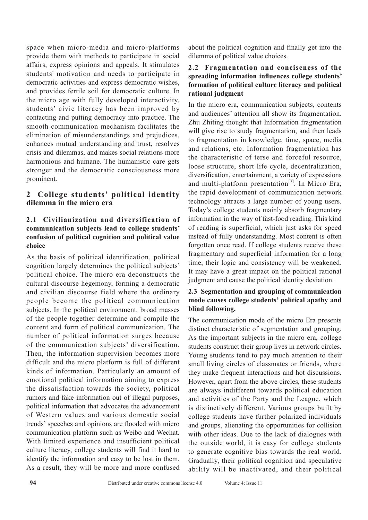space when micro-media and micro-platforms provide them with methods to participate in social affairs, express opinions and appeals. It stimulates students' motivation and needs to participate in democratic activities and express democratic wishes, and provides fertile soil for democratic culture. In the micro age with fully developed interactivity, students' civic literacy has been improved by contacting and putting democracy into practice. The smooth communication mechanism facilitates the elimination of misunderstandings and prejudices, enhances mutual understanding and trust, resolves crisis and dilemmas, and makes social relations more harmonious and humane. The humanistic care gets stronger and the democratic consciousness more prominent.

# **2 College students' political identity dilemma in the micro era**

# **2.1 Civilianization and diversification of communication subjects lead to college students' confusion of political cognition and political value choice**

As the basis of political identification, political cognition largely determines the political subjects' political choice. The micro era deconstructs the cultural discourse hegemony, forming a democratic and civilian discourse field where the ordinary people become the political communication subjects. In the political environment, broad masses of the people together determine and compile the content and form of political communication. The number of political information surges because of the communication subjects' diversification. Then, the information supervision becomes more difficult and the micro platform is full of different kinds of information. Particularly an amount of emotional political information aiming to express the dissatisfaction towards the society, political rumors and fake information out of illegal purposes, political information that advocates the advancement of Western values and various domestic social trends' speeches and opinions are flooded with micro communication platform such as Weibo and Wechat. With limited experience and insufficient political culture literacy, college students will find it hard to identify the information and easy to be lost in them. As a result, they will be more and more confused

about the political cognition and finally get into the dilemma of political value choices.

## **2.2 Fragmentation and conciseness of the spreading information influences college students' formation of political culture literacy and political rational judgment**

In the micro era, communication subjects, contents and audiences' attention all show its fragmentation. Zhu Zhiting thought that Information fragmentation will give rise to study fragmentation, and then leads to fragmentation in knowledge, time, space, media and relations, etc. Information fragmentation has the characteristic of terse and forceful resource, loose structure, short life cycle, decentralization, diversification, entertainment, a variety of expressions and multi-platform presentation $^{[3]}$ . In Micro Era, the rapid development of communication network technology attracts a large number of young users. Today's college students mainly absorb fragmentary information in the way of fast-food reading. This kind of reading is superficial, which just asks for speed instead of fully understanding. Most content is often forgotten once read. If college students receive these fragmentary and superficial information for a long time, their logic and consistency will be weakened. It may have a great impact on the political rational judgment and cause the political identity deviation.

## **2.3 Segmentation and grouping of communication mode causes college students' political apathy and blind following.**

The communication mode of the micro Era presents distinct characteristic of segmentation and grouping. As the important subjects in the micro era, college students construct their group lives in network circles. Young students tend to pay much attention to their small living circles of classmates or friends, where they make frequent interactions and hot discussions. However, apart from the above circles, these students are always indifferent towards political education and activities of the Party and the League, which is distinctively different. Various groups built by college students have further polarized individuals and groups, alienating the opportunities for collision with other ideas. Due to the lack of dialogues with the outside world, it is easy for college students to generate cognitive bias towards the real world. Gradually, their political cognition and speculative ability will be inactivated, and their political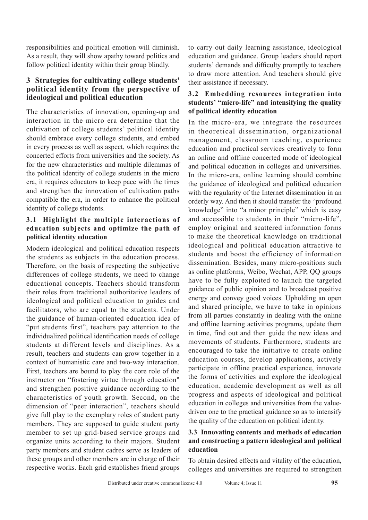responsibilities and political emotion will diminish. As a result, they will show apathy toward politics and follow political identity within their group blindly.

# **3 Strategies for cultivating college students' political identity from the perspective of ideological and political education**

The characteristics of innovation, opening-up and interaction in the micro era determine that the cultivation of college students' political identity should embrace every college students, and embed in every process as well as aspect, which requires the concerted efforts from universities and the society. As for the new characteristics and multiple dilemmas of the political identity of college students in the micro era, it requires educators to keep pace with the times and strengthen the innovation of cultivation paths compatible the era, in order to enhance the political identity of college students.

# **3.1 Highlight the multiple interactions of education subjects and optimize the path of political identity education**

Modern ideological and political education respects the students as subjects in the education process. Therefore, on the basis of respecting the subjective differences of college students, we need to change educational concepts. Teachers should transform their roles from traditional authoritative leaders of ideological and political education to guides and facilitators, who are equal to the students. Under the guidance of human-oriented education idea of "put students first", teachers pay attention to the individualized political identification needs of college students at different levels and disciplines. As a result, teachers and students can grow together in a context of humanistic care and two-way interaction. First, teachers are bound to play the core role of the instructor on "fostering virtue through education" and strengthen positive guidance according to the characteristics of youth growth. Second, on the dimension of "peer interaction", teachers should give full play to the exemplary roles of student party members. They are supposed to guide student party member to set up grid-based service groups and organize units according to their majors. Student party members and student cadres serve as leaders of these groups and other members are in charge of their respective works. Each grid establishes friend groups

to carry out daily learning assistance, ideological education and guidance. Group leaders should report students' demands and difficulty promptly to teachers to draw more attention. And teachers should give their assistance if necessary.

# **3.2 Embedding resources integration into students' "micro-life" and intensifying the quality of political identity education**

In the micro-era, we integrate the resources in theoretical dissemination, organizational management, classroom teaching, experience education and practical services creatively to form an online and offline concerted mode of ideological and political education in colleges and universities. In the micro-era, online learning should combine the guidance of ideological and political education with the regularity of the Internet dissemination in an orderly way. And then it should transfer the "profound knowledge" into "a minor principle" which is easy and accessible to students in their "micro-life", employ original and scattered information forms to make the theoretical knowledge on traditional ideological and political education attractive to students and boost the efficiency of information dissemination. Besides, many micro-positions such as online platforms, Weibo, Wechat, APP, QQ groups have to be fully exploited to launch the targeted guidance of public opinion and to broadcast positive energy and convey good voices. Upholding an open and shared principle, we have to take in opinions from all parties constantly in dealing with the online and offline learning activities programs, update them in time, find out and then guide the new ideas and movements of students. Furthermore, students are encouraged to take the initiative to create online education courses, develop applications, actively participate in offline practical experience, innovate the forms of activities and explore the ideological education, academic development as well as all progress and aspects of ideological and political education in colleges and universities from the valuedriven one to the practical guidance so as to intensify the quality of the education on political identity.

# **3.3 Innovating contents and methods of education and constructing a pattern ideological and political education**

To obtain desired effects and vitality of the education, colleges and universities are required to strengthen